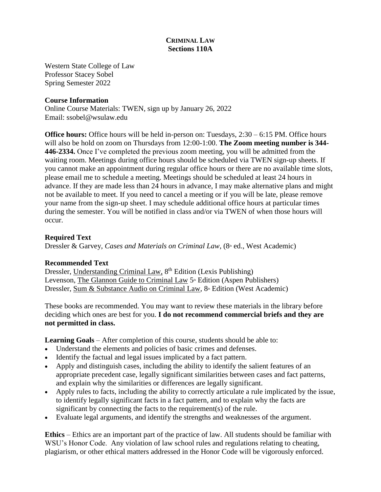# **CRIMINAL LAW Sections 110A**

Western State College of Law Professor Stacey Sobel Spring Semester 2022

#### **Course Information**

Online Course Materials: TWEN, sign up by January 26, 2022 Email: ssobel@wsulaw.edu

**Office hours:** Office hours will be held in-person on: Tuesdays, 2:30 – 6:15 PM. Office hours will also be hold on zoom on Thursdays from 12:00-1:00. **The Zoom meeting number is 344- 446-2334.** Once I've completed the previous zoom meeting, you will be admitted from the waiting room. Meetings during office hours should be scheduled via TWEN sign-up sheets. If you cannot make an appointment during regular office hours or there are no available time slots, please email me to schedule a meeting. Meetings should be scheduled at least 24 hours in advance. If they are made less than 24 hours in advance, I may make alternative plans and might not be available to meet. If you need to cancel a meeting or if you will be late, please remove your name from the sign-up sheet. I may schedule additional office hours at particular times during the semester. You will be notified in class and/or via TWEN of when those hours will occur.

#### **Required Text**

Dressler & Garvey, *Cases and Materials on Criminal Law*, (8<sup>th</sup> ed., West Academic)

#### **Recommended Text**

Dressler, Understanding Criminal Law, 8<sup>th</sup> Edition (Lexis Publishing) Levenson, The Glannon Guide to Criminal Law 5<sup>th</sup> Edition (Aspen Publishers) Dressler, Sum & Substance Audio on Criminal Law, 8<sup>th</sup> Edition (West Academic)

These books are recommended. You may want to review these materials in the library before deciding which ones are best for you. **I do not recommend commercial briefs and they are not permitted in class.**

**Learning Goals** – After completion of this course, students should be able to:

- Understand the elements and policies of basic crimes and defenses.
- Identify the factual and legal issues implicated by a fact pattern.
- Apply and distinguish cases, including the ability to identify the salient features of an appropriate precedent case, legally significant similarities between cases and fact patterns, and explain why the similarities or differences are legally significant.
- Apply rules to facts, including the ability to correctly articulate a rule implicated by the issue, to identify legally significant facts in a fact pattern, and to explain why the facts are significant by connecting the facts to the requirement(s) of the rule.
- Evaluate legal arguments, and identify the strengths and weaknesses of the argument.

**Ethics** – Ethics are an important part of the practice of law. All students should be familiar with WSU's Honor Code. Any violation of law school rules and regulations relating to cheating, plagiarism, or other ethical matters addressed in the Honor Code will be vigorously enforced.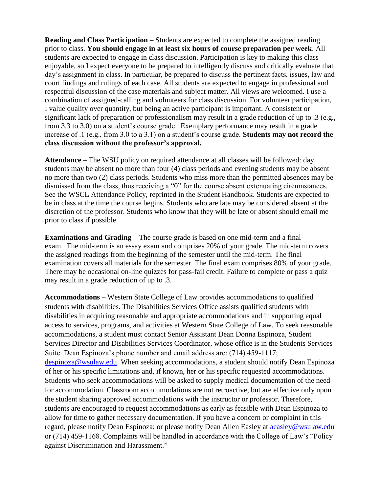**Reading and Class Participation** – Students are expected to complete the assigned reading prior to class. **You should engage in at least six hours of course preparation per week**. All students are expected to engage in class discussion. Participation is key to making this class enjoyable, so I expect everyone to be prepared to intelligently discuss and critically evaluate that day's assignment in class. In particular, be prepared to discuss the pertinent facts, issues, law and court findings and rulings of each case. All students are expected to engage in professional and respectful discussion of the case materials and subject matter. All views are welcomed. I use a combination of assigned-calling and volunteers for class discussion. For volunteer participation, I value quality over quantity, but being an active participant is important. A consistent or significant lack of preparation or professionalism may result in a grade reduction of up to .3 (e.g., from 3.3 to 3.0) on a student's course grade. Exemplary performance may result in a grade increase of .1 (e.g., from 3.0 to a 3.1) on a student's course grade. **Students may not record the class discussion without the professor's approval.**

**Attendance** – The WSU policy on required attendance at all classes will be followed: day students may be absent no more than four (4) class periods and evening students may be absent no more than two (2) class periods. Students who miss more than the permitted absences may be dismissed from the class, thus receiving a "0" for the course absent extenuating circumstances. See the WSCL Attendance Policy, reprinted in the Student Handbook. Students are expected to be in class at the time the course begins. Students who are late may be considered absent at the discretion of the professor. Students who know that they will be late or absent should email me prior to class if possible.

**Examinations and Grading** – The course grade is based on one mid-term and a final exam. The mid-term is an essay exam and comprises 20% of your grade. The mid-term covers the assigned readings from the beginning of the semester until the mid-term. The final examination covers all materials for the semester. The final exam comprises 80% of your grade. There may be occasional on-line quizzes for pass-fail credit. Failure to complete or pass a quiz may result in a grade reduction of up to .3.

**Accommodations** – Western State College of Law provides accommodations to qualified students with disabilities. The Disabilities Services Office assists qualified students with disabilities in acquiring reasonable and appropriate accommodations and in supporting equal access to services, programs, and activities at Western State College of Law. To seek reasonable accommodations, a student must contact Senior Assistant Dean Donna Espinoza, Student Services Director and Disabilities Services Coordinator, whose office is in the Students Services Suite. Dean Espinoza's phone number and email address are: (714) 459-1117; [despinoza@wsulaw.edu.](mailto:despinoza@wsulaw.edu) When seeking accommodations, a student should notify Dean Espinoza of her or his specific limitations and, if known, her or his specific requested accommodations. Students who seek accommodations will be asked to supply medical documentation of the need for accommodation. Classroom accommodations are not retroactive, but are effective only upon the student sharing approved accommodations with the instructor or professor. Therefore, students are encouraged to request accommodations as early as feasible with Dean Espinoza to allow for time to gather necessary documentation. If you have a concern or complaint in this regard, please notify Dean Espinoza; or please notify Dean Allen Easley at [aeasley@wsulaw.edu](mailto:aeasley@wsulaw.edu) or (714) 459-1168. Complaints will be handled in accordance with the College of Law's "Policy against Discrimination and Harassment."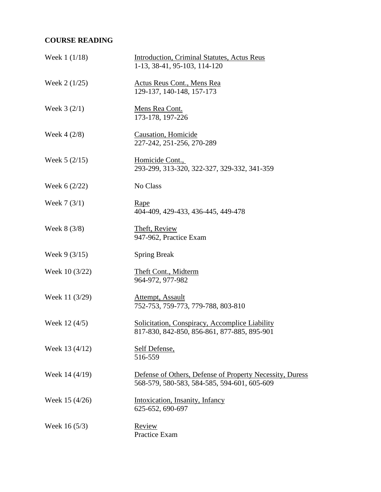# **COURSE READING**

| Week $1(1/18)$ | <b>Introduction, Criminal Statutes, Actus Reus</b><br>1-13, 38-41, 95-103, 114-120                      |
|----------------|---------------------------------------------------------------------------------------------------------|
| Week $2(1/25)$ | Actus Reus Cont., Mens Rea<br>129-137, 140-148, 157-173                                                 |
| Week $3(2/1)$  | Mens Rea Cont.<br>173-178, 197-226                                                                      |
| Week $4(2/8)$  | <b>Causation</b> , Homicide<br>227-242, 251-256, 270-289                                                |
| Week $5(2/15)$ | Homicide Cont.,<br>293-299, 313-320, 322-327, 329-332, 341-359                                          |
| Week $6(2/22)$ | No Class                                                                                                |
| Week $7(3/1)$  | Rape<br>404-409, 429-433, 436-445, 449-478                                                              |
| Week $8(3/8)$  | Theft, Review<br>947-962, Practice Exam                                                                 |
| Week $9(3/15)$ | <b>Spring Break</b>                                                                                     |
| Week 10 (3/22) | Theft Cont., Midterm<br>964-972, 977-982                                                                |
| Week 11 (3/29) | Attempt, Assault<br>752-753, 759-773, 779-788, 803-810                                                  |
| Week 12 (4/5)  | Solicitation, Conspiracy, Accomplice Liability<br>817-830, 842-850, 856-861, 877-885, 895-901           |
| Week 13 (4/12) | Self Defense,<br>516-559                                                                                |
| Week 14 (4/19) | Defense of Others, Defense of Property Necessity, Duress<br>568-579, 580-583, 584-585, 594-601, 605-609 |
| Week 15 (4/26) | Intoxication, Insanity, Infancy<br>625-652, 690-697                                                     |
| Week 16 (5/3)  | Review<br>Practice Exam                                                                                 |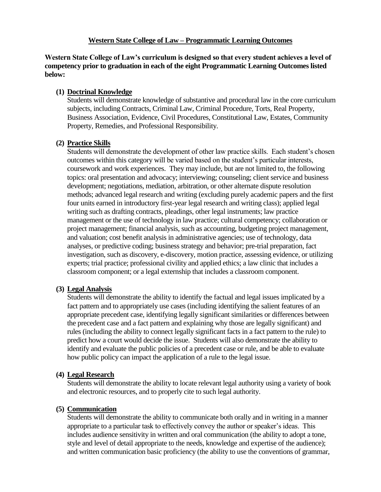**Western State College of Law's curriculum is designed so that every student achieves a level of competency prior to graduation in each of the eight Programmatic Learning Outcomes listed below:**

# **(1) Doctrinal Knowledge**

Students will demonstrate knowledge of substantive and procedural law in the core curriculum subjects, including Contracts, Criminal Law, Criminal Procedure, Torts, Real Property, Business Association, Evidence, Civil Procedures, Constitutional Law, Estates, Community Property, Remedies, and Professional Responsibility.

# **(2) Practice Skills**

Students will demonstrate the development of other law practice skills. Each student's chosen outcomes within this category will be varied based on the student's particular interests, coursework and work experiences. They may include, but are not limited to, the following topics: oral presentation and advocacy; interviewing; counseling; client service and business development; negotiations, mediation, arbitration, or other alternate dispute resolution methods; advanced legal research and writing (excluding purely academic papers and the first four units earned in introductory first-year legal research and writing class); applied legal writing such as drafting contracts, pleadings, other legal instruments; law practice management or the use of technology in law practice; cultural competency; collaboration or project management; financial analysis, such as accounting, budgeting project management, and valuation; cost benefit analysis in administrative agencies; use of technology, data analyses, or predictive coding; business strategy and behavior; pre-trial preparation, fact investigation, such as discovery, e-discovery, motion practice, assessing evidence, or utilizing experts; trial practice; professional civility and applied ethics; a law clinic that includes a classroom component; or a legal externship that includes a classroom component.

# **(3) Legal Analysis**

Students will demonstrate the ability to identify the factual and legal issues implicated by a fact pattern and to appropriately use cases (including identifying the salient features of an appropriate precedent case, identifying legally significant similarities or differences between the precedent case and a fact pattern and explaining why those are legally significant) and rules (including the ability to connect legally significant facts in a fact pattern to the rule) to predict how a court would decide the issue. Students will also demonstrate the ability to identify and evaluate the public policies of a precedent case or rule, and be able to evaluate how public policy can impact the application of a rule to the legal issue.

# **(4) Legal Research**

Students will demonstrate the ability to locate relevant legal authority using a variety of book and electronic resources, and to properly cite to such legal authority.

# **(5) Communication**

Students will demonstrate the ability to communicate both orally and in writing in a manner appropriate to a particular task to effectively convey the author or speaker's ideas. This includes audience sensitivity in written and oral communication (the ability to adopt a tone, style and level of detail appropriate to the needs, knowledge and expertise of the audience); and written communication basic proficiency (the ability to use the conventions of grammar,